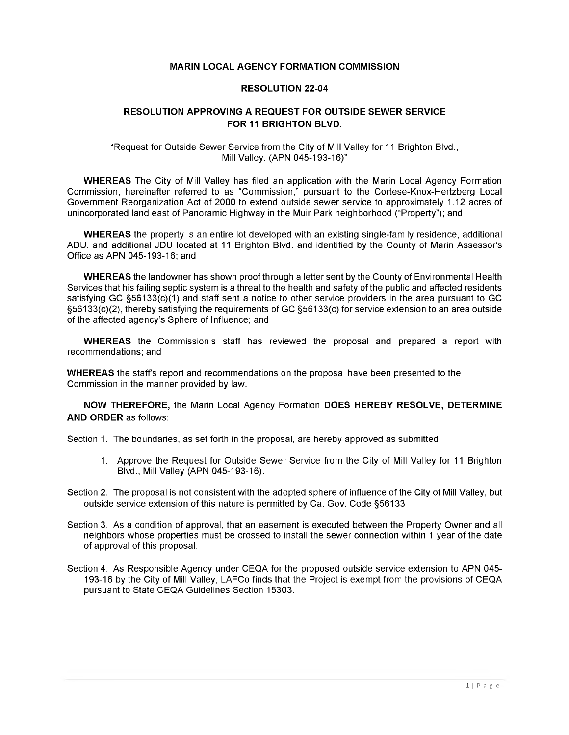## **MARIN LOCAL AGENCY FORMATION COMMISSION**

## **RESOLUTION 22-04**

## **RESOLUTION APPROVING A REQUEST FOR OUTSIDE SEWER SERVICE FOR 11 BRIGHTON BLVD.**

"Request for Outside Sewer Service from the City of Mill Valley for <sup>11</sup> Brighton Blvd., Mill Valley. (APN 045-193-16)"

**WHEREAS** The City of Mill Valley has filed an application with the Marin Local Agency Formation Commission, hereinafter referred to as "Commission," pursuant to the Cortese-Knox-Hertzberg Local Government Reorganization Act of 2000 to extend outside sewer service to approximately 1.12 acres of unincorporated land east of Panoramic Highway in the Muir Park neighborhood ("Property"); and

**WHEREAS** the property is an entire lot developed with an existing single-family residence, additional ADU, and additional JDU located at 11 Brighton Blvd. and identified by the County of Marin Assessor's Office as APN 045-193-16; and

**WHEREAS** the landowner has shown proof through a letter sent by the County of Environmental Health Services that his failing septic system is a threat to the health and safety of the public and affected residents satisfying GC §56133(c)(1) and staff sent a notice to other service providers in the area pursuant to GC §56133(c)(2), thereby satisfying the requirements of GC §56133(c) for service extension to an area outside of the affected agency's Sphere of Influence; and

**WHEREAS** the Commission's staff has reviewed the proposal and prepared a report with recommendations; and

**WHEREAS** the staff's report and recommendations on the proposal have been presented to the Commission in the manner provided by law.

**NOW THEREFORE,** the Marin Local Agency Formation **DOES HEREBY RESOLVE, DETERMINE AND ORDER** as follows:

Section 1. The boundaries, as set forth in the proposal, are hereby approved as submitted.

- 1. Approve the Request for Outside Sewer Service from the City of Mill Valley for 11 Brighton Blvd., Mill Valley (APN 045-193-16).
- Section 2. The proposal is not consistent with the adopted sphere of influence of the City of Mill Valley, but outside service extension of this nature is permitted by Ca. Gov. Code §56133
- Section 3. As a condition of approval, that an easement is executed between the Property Owner and all neighbors whose properties must be crossed to install the sewer connection within <sup>1</sup> year of the date of approval of this proposal.
- Section 4. As Responsible Agency under CEQA for the proposed outside service extension to APN 045 193-16 by the City of Mill Valley, LAFCo finds that the Project is exempt from the provisions of CEQA pursuant to State CEQA Guidelines Section 15303.